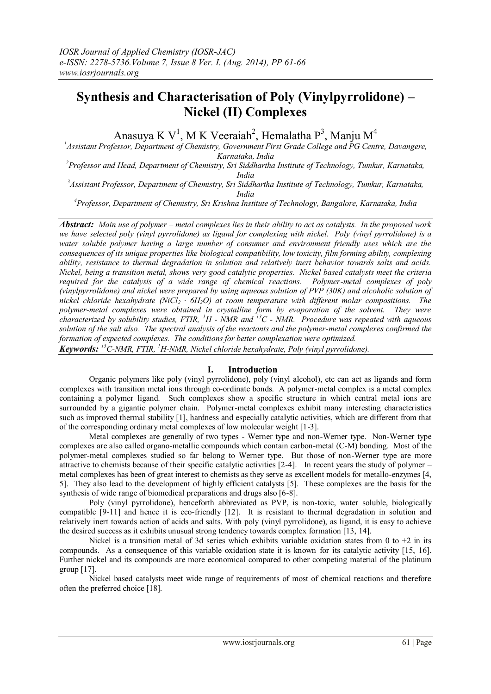# **Synthesis and Characterisation of Poly (Vinylpyrrolidone) – Nickel (II) Complexes**

Anasuya K V<sup>1</sup>, M K Veeraiah<sup>2</sup>, Hemalatha P<sup>3</sup>, Manju M<sup>4</sup>

*<sup>1</sup>Assistant Professor, Department of Chemistry, Government First Grade College and PG Centre, Davangere, Karnataka, India*

*<sup>2</sup>Professor and Head, Department of Chemistry, Sri Siddhartha Institute of Technology, Tumkur, Karnataka, India*

*<sup>3</sup>Assistant Professor, Department of Chemistry, Sri Siddhartha Institute of Technology, Tumkur, Karnataka, India*

*<sup>4</sup>Professor, Department of Chemistry, Sri Krishna Institute of Technology, Bangalore, Karnataka, India*

*Abstract: Main use of polymer – metal complexes lies in their ability to act as catalysts. In the proposed work we have selected poly (vinyl pyrrolidone) as ligand for complexing with nickel. Poly (vinyl pyrrolidone) is a water soluble polymer having a large number of consumer and environment friendly uses which are the consequences of its unique properties like biological compatibility, low toxicity, film forming ability, complexing ability, resistance to thermal degradation in solution and relatively inert behavior towards salts and acids. Nickel, being a transition metal, shows very good catalytic properties. Nickel based catalysts meet the criteria required for the catalysis of a wide range of chemical reactions. Polymer-metal complexes of poly (vinylpyrrolidone) and nickel were prepared by using aqueous solution of PVP (30K) and alcoholic solution of nickel chloride hexahydrate (NiCl2 ∙ 6H2O) at room temperature with different molar compositions. The polymer-metal complexes were obtained in crystalline form by evaporation of the solvent. They were characterized by solubility studies, FTIR, <sup>1</sup>H - NMR and <sup>13</sup>C - NMR. Procedure was repeated with aqueous solution of the salt also. The spectral analysis of the reactants and the polymer-metal complexes confirmed the formation of expected complexes. The conditions for better complexation were optimized. Keywords: <sup>13</sup>C-NMR, FTIR, <sup>1</sup>H-NMR, Nickel chloride hexahydrate, Poly (vinyl pyrrolidone).* 

# **I. Introduction**

Organic polymers like poly (vinyl pyrrolidone), poly (vinyl alcohol), etc can act as ligands and form complexes with transition metal ions through co-ordinate bonds. A polymer-metal complex is a metal complex containing a polymer ligand. Such complexes show a specific structure in which central metal ions are surrounded by a gigantic polymer chain. Polymer-metal complexes exhibit many interesting characteristics such as improved thermal stability [1], hardness and especially catalytic activities, which are different from that of the corresponding ordinary metal complexes of low molecular weight [1-3].

Metal complexes are generally of two types - Werner type and non-Werner type. Non-Werner type complexes are also called organo-metallic compounds which contain carbon-metal (C-M) bonding. Most of the polymer-metal complexes studied so far belong to Werner type. But those of non-Werner type are more attractive to chemists because of their specific catalytic activities [2-4]. In recent years the study of polymer – metal complexes has been of great interest to chemists as they serve as excellent models for metallo-enzymes [4, 5]. They also lead to the development of highly efficient catalysts [5]. These complexes are the basis for the synthesis of wide range of biomedical preparations and drugs also [6-8].

Poly (vinyl pyrrolidone), henceforth abbreviated as PVP, is non-toxic, water soluble, biologically compatible [9-11] and hence it is eco-friendly [12]. It is resistant to thermal degradation in solution and relatively inert towards action of acids and salts. With poly (vinyl pyrrolidone), as ligand, it is easy to achieve the desired success as it exhibits unusual strong tendency towards complex formation [13, 14].

Nickel is a transition metal of 3d series which exhibits variable oxidation states from 0 to  $+2$  in its compounds. As a consequence of this variable oxidation state it is known for its catalytic activity [15, 16]. Further nickel and its compounds are more economical compared to other competing material of the platinum group [17].

Nickel based catalysts meet wide range of requirements of most of chemical reactions and therefore often the preferred choice [18].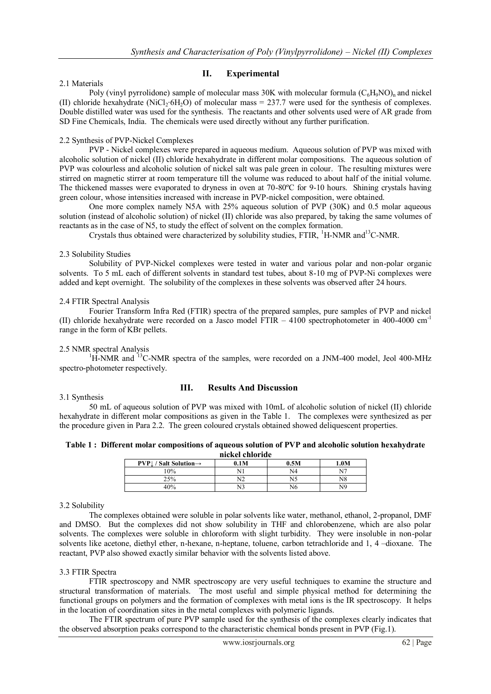# **II. Experimental**

#### 2.1 Materials

Poly (vinyl pyrrolidone) sample of molecular mass 30K with molecular formula  $(C<sub>6</sub>H<sub>9</sub>NO)<sub>n</sub>$  and nickel (II) chloride hexahydrate (NiCl<sub>2</sub>⋅6H<sub>2</sub>O) of molecular mass = 237.7 were used for the synthesis of complexes. Double distilled water was used for the synthesis. The reactants and other solvents used were of AR grade from SD Fine Chemicals, India. The chemicals were used directly without any further purification.

#### 2.2 Synthesis of PVP-Nickel Complexes

PVP - Nickel complexes were prepared in aqueous medium. Aqueous solution of PVP was mixed with alcoholic solution of nickel (II) chloride hexahydrate in different molar compositions. The aqueous solution of PVP was colourless and alcoholic solution of nickel salt was pale green in colour. The resulting mixtures were stirred on magnetic stirrer at room temperature till the volume was reduced to about half of the initial volume. The thickened masses were evaporated to dryness in oven at 70-80ºC for 9-10 hours. Shining crystals having green colour, whose intensities increased with increase in PVP-nickel composition, were obtained.

One more complex namely N5A with 25% aqueous solution of PVP (30K) and 0.5 molar aqueous solution (instead of alcoholic solution) of nickel (II) chloride was also prepared, by taking the same volumes of reactants as in the case of N5, to study the effect of solvent on the complex formation.

Crystals thus obtained were characterized by solubility studies, FTIR, <sup>1</sup>H-NMR and<sup>13</sup>C-NMR.

### 2.3 Solubility Studies

Solubility of PVP-Nickel complexes were tested in water and various polar and non-polar organic solvents. To 5 mL each of different solvents in standard test tubes, about 8-10 mg of PVP-Ni complexes were added and kept overnight. The solubility of the complexes in these solvents was observed after 24 hours.

### 2.4 FTIR Spectral Analysis

Fourier Transform Infra Red (FTIR) spectra of the prepared samples, pure samples of PVP and nickel (II) chloride hexahydrate were recorded on a Jasco model FTIR – 4100 spectrophotometer in 400-4000 cm-1 range in the form of KBr pellets.

# 2.5 NMR spectral Analysis

 $1_H$ -NMR and  $13_C$ -NMR spectra of the samples, were recorded on a JNM-400 model, Jeol 400-MHz spectro-photometer respectively.

# 3.1 Synthesis

# **III. Results And Discussion**

50 mL of aqueous solution of PVP was mixed with 10mL of alcoholic solution of nickel (II) chloride hexahydrate in different molar compositions as given in the Table 1. The complexes were synthesized as per the procedure given in Para 2.2. The green coloured crystals obtained showed deliquescent properties.

| Table 1: Different molar compositions of aqueous solution of PVP and alcoholic solution hexahydrate |  |  |  |  |  |
|-----------------------------------------------------------------------------------------------------|--|--|--|--|--|
|                                                                                                     |  |  |  |  |  |

| nickel chloride                                |      |      |      |  |  |  |
|------------------------------------------------|------|------|------|--|--|--|
| $PVP \downarrow$ / Salt Solution $\rightarrow$ | 0.1M | 0.5M | 1.0M |  |  |  |
| 10%                                            |      | N4   |      |  |  |  |
| 25%                                            | N2   |      | N8   |  |  |  |
| 40%                                            | N3   | N6   | N9   |  |  |  |

#### 3.2 Solubility

The complexes obtained were soluble in polar solvents like water, methanol, ethanol, 2-propanol, DMF and DMSO. But the complexes did not show solubility in THF and chlorobenzene, which are also polar solvents. The complexes were soluble in chloroform with slight turbidity. They were insoluble in non-polar solvents like acetone, diethyl ether, n-hexane, n-heptane, toluene, carbon tetrachloride and 1, 4 –dioxane. The reactant, PVP also showed exactly similar behavior with the solvents listed above.

#### 3.3 FTIR Spectra

FTIR spectroscopy and NMR spectroscopy are very useful techniques to examine the structure and structural transformation of materials. The most useful and simple physical method for determining the functional groups on polymers and the formation of complexes with metal ions is the IR spectroscopy. It helps in the location of coordination sites in the metal complexes with polymeric ligands.

The FTIR spectrum of pure PVP sample used for the synthesis of the complexes clearly indicates that the observed absorption peaks correspond to the characteristic chemical bonds present in PVP (Fig.1).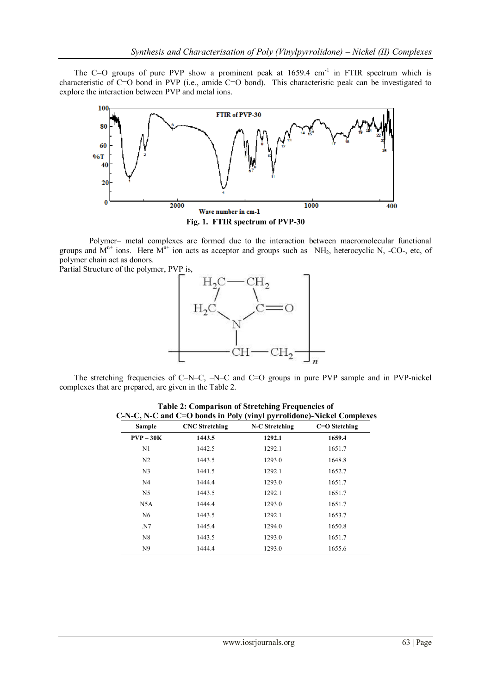The C=O groups of pure PVP show a prominent peak at  $1659.4 \text{ cm}^{-1}$  in FTIR spectrum which is characteristic of C=O bond in PVP (i.e., amide C=O bond). This characteristic peak can be investigated to explore the interaction between PVP and metal ions.



Polymer– metal complexes are formed due to the interaction between macromolecular functional groups and  $M^{n+}$  ions. Here  $M^{n+}$  ion acts as acceptor and groups such as  $-NH_2$ , heterocyclic N, -CO-, etc, of polymer chain act as donors.

Partial Structure of the polymer, PVP is,



The stretching frequencies of C–N–C, –N–C and C=O groups in pure PVP sample and in PVP-nickel complexes that are prepared, are given in the Table 2.

| Sample         | <b>CNC</b> Stretching | N-C Stretching | $C=O$ Stetching |
|----------------|-----------------------|----------------|-----------------|
| $PVP - 30K$    | 1443.5                | 1292.1         | 1659.4          |
| N1             | 1442.5                | 1292.1         | 1651.7          |
| N <sub>2</sub> | 1443.5                | 1293.0         | 1648.8          |
| N <sub>3</sub> | 1441.5                | 1292.1         | 1652.7          |
| N <sub>4</sub> | 1444.4                | 1293.0         | 1651.7          |
| N <sub>5</sub> | 1443.5                | 1292.1         | 1651.7          |
| N5A            | 1444.4                | 1293.0         | 1651.7          |
| N <sub>6</sub> | 1443.5                | 1292.1         | 1653.7          |
| .N7            | 1445.4                | 1294.0         | 1650.8          |
| N8             | 1443.5                | 1293.0         | 1651.7          |
| N <sub>9</sub> | 1444.4                | 1293.0         | 1655.6          |

**Table 2: Comparison of Stretching Frequencies of C-N-C, N-C and C=O bonds in Poly (vinyl pyrrolidone)-Nickel Complexes**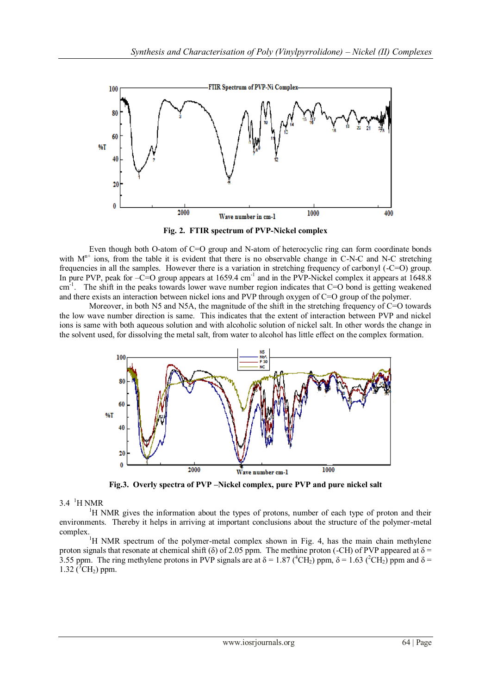

**Fig. 2. FTIR spectrum of PVP-Nickel complex**

Even though both O-atom of C=O group and N-atom of heterocyclic ring can form coordinate bonds with  $M<sup>n+</sup>$  ions, from the table it is evident that there is no observable change in C-N-C and N-C stretching frequencies in all the samples. However there is a variation in stretching frequency of carbonyl (-C=O) group. In pure PVP, peak for  $-C=O$  group appears at 1659.4 cm<sup>-1</sup> and in the PVP-Nickel complex it appears at 1648.8 cm<sup>-1</sup>. The shift in the peaks towards lower wave number region indicates that C=O bond is getting weakened and there exists an interaction between nickel ions and PVP through oxygen of C=O group of the polymer.

Moreover, in both N5 and N5A, the magnitude of the shift in the stretching frequency of C=O towards the low wave number direction is same. This indicates that the extent of interaction between PVP and nickel ions is same with both aqueous solution and with alcoholic solution of nickel salt. In other words the change in the solvent used, for dissolving the metal salt, from water to alcohol has little effect on the complex formation.



**Fig.3. Overly spectra of PVP –Nickel complex, pure PVP and pure nickel salt**

# $3.4$ <sup>1</sup>H NMR

 ${}^{1}$ H NMR gives the information about the types of protons, number of each type of proton and their environments. Thereby it helps in arriving at important conclusions about the structure of the polymer-metal complex.

<sup>1</sup>H NMR spectrum of the polymer-metal complex shown in Fig. 4, has the main chain methylene proton signals that resonate at chemical shift ( $\delta$ ) of 2.05 ppm. The methine proton (-CH) of PVP appeared at  $\delta$  = 3.55 ppm. The ring methylene protons in PVP signals are at  $\delta = 1.87 \binom{4 \text{CH}_2}{\text{P}}$  ppm,  $\delta = 1.63 \binom{2 \text{CH}_2}{\text{P}}$  ppm and  $\delta =$ 1.32 ( ${}^{3}CH_{2}$ ) ppm.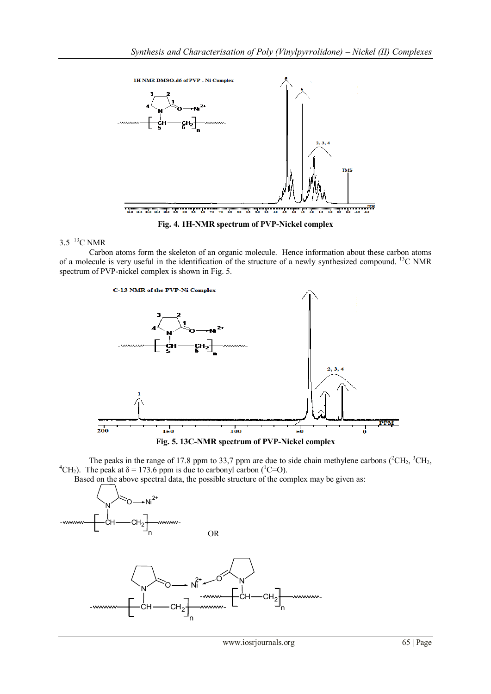

**Fig. 4. 1H-NMR spectrum of PVP-Nickel complex**

# $3.5$  <sup>13</sup>C NMR

Carbon atoms form the skeleton of an organic molecule. Hence information about these carbon atoms of a molecule is very useful in the identification of the structure of a newly synthesized compound. <sup>13</sup>C NMR spectrum of PVP-nickel complex is shown in Fig. 5.





The peaks in the range of 17.8 ppm to 33,7 ppm are due to side chain methylene carbons  $(^{2}CH_{2}, ^{3}CH_{2}, ^{3}CH_{3})$ <sup>4</sup>CH<sub>2</sub>). The peak at  $\delta$  = 173.6 ppm is due to carbonyl carbon (<sup>1</sup>C=O).

Based on the above spectral data, the possible structure of the complex may be given as: